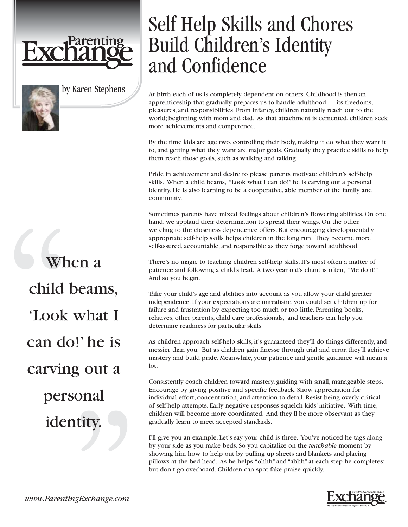

by Karen Stephens

# When a child beams, 'Look what I can do!' he is carving out a personal identity.

## Self Help Skills and Chores Build Children's Identity and Confidence

At birth each of us is completely dependent on others. Childhood is then an apprenticeship that gradually prepares us to handle adulthood — its freedoms, pleasures, and responsibilities. From infancy, children naturally reach out to the world; beginning with mom and dad. As that attachment is cemented, children seek more achievements and competence.

By the time kids are age two, controlling their body, making it do what they want it to, and getting what they want are major goals. Gradually they practice skills to help them reach those goals, such as walking and talking.

Pride in achievement and desire to please parents motivate children's self-help skills. When a child beams, "Look what I can do!" he is carving out a personal identity. He is also learning to be a cooperative, able member of the family and community.

Sometimes parents have mixed feelings about children's flowering abilities. On one hand, we applaud their determination to spread their wings. On the other, we cling to the closeness dependence offers. But encouraging developmentally appropriate self-help skills helps children in the long run. They become more self-assured, accountable, and responsible as they forge toward adulthood.

There's no magic to teaching children self-help skills. It's most often a matter of patience and following a child's lead. A two year old's chant is often, "Me do it!" And so you begin.

Take your child's age and abilities into account as you allow your child greater independence. If your expectations are unrealistic, you could set children up for failure and frustration by expecting too much or too little. Parenting books, relatives, other parents, child care professionals, and teachers can help you determine readiness for particular skills.

As children approach self-help skills, it's guaranteed they'll do things differently, and messier than you. But as children gain finesse through trial and error, they'll achieve mastery and build pride. Meanwhile, your patience and gentle guidance will mean a lot.

Consistently coach children toward mastery, guiding with small, manageable steps. Encourage by giving positive and specific feedback. Show appreciation for individual effort, concentration, and attention to detail. Resist being overly critical of self-help attempts. Early negative responses squelch kids' initiative. With time, children will become more coordinated. And they'll be more observant as they gradually learn to meet accepted standards.

I'll give you an example. Let's say your child is three. You've noticed he tags along by your side as you make beds. So you capitalize on the *teachable* moment by showing him how to help out by pulling up sheets and blankets and placing pillows at the bed head. As he helps,"ohhh" and "ahhh" at each step he completes; but don't go overboard. Children can spot fake praise quickly.

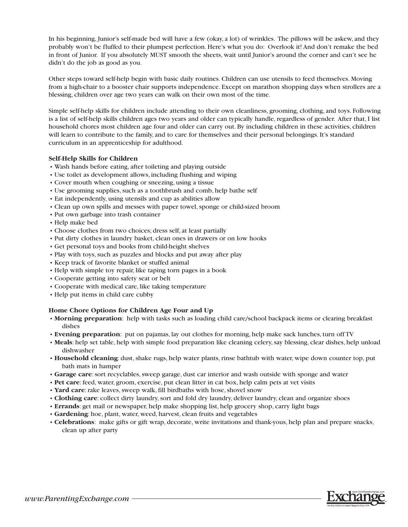In his beginning, Junior's self-made bed will have a few (okay, a lot) of wrinkles. The pillows will be askew, and they probably won't be fluffed to their plumpest perfection. Here's what you do: Overlook it! And don't remake the bed in front of Junior. If you absolutely MUST smooth the sheets, wait until Junior's around the corner and can't see he didn't do the job as good as you.

Other steps toward self-help begin with basic daily routines. Children can use utensils to feed themselves. Moving from a high-chair to a booster chair supports independence. Except on marathon shopping days when strollers are a blessing, children over age two years can walk on their own most of the time.

Simple self-help skills for children include attending to their own cleanliness, grooming, clothing, and toys. Following is a list of self-help skills children ages two years and older can typically handle, regardless of gender. After that, I list household chores most children age four and older can carry out. By including children in these activities, children will learn to contribute to the family, and to care for themselves and their personal belongings. It's standard curriculum in an apprenticeship for adulthood.

#### **Self-Help Skills for Children**

- Wash hands before eating, after toileting and playing outside
- Use toilet as development allows, including flushing and wiping
- Cover mouth when coughing or sneezing, using a tissue
- Use grooming supplies, such as a toothbrush and comb, help bathe self
- Eat independently, using utensils and cup as abilities allow
- Clean up own spills and messes with paper towel, sponge or child-sized broom
- Put own garbage into trash container
- Help make bed
- Choose clothes from two choices; dress self, at least partially
- Put dirty clothes in laundry basket, clean ones in drawers or on low hooks
- Get personal toys and books from child-height shelves
- Play with toys, such as puzzles and blocks and put away after play
- Keep track of favorite blanket or stuffed animal
- Help with simple toy repair, like taping torn pages in a book
- Cooperate getting into safety seat or belt
- Cooperate with medical care, like taking temperature
- Help put items in child care cubby

#### **Home Chore Options for Children Age Four and Up**

- **Morning preparation**: help with tasks such as loading child care/school backpack items or clearing breakfast dishes
- **Evening preparation**: put on pajamas, lay out clothes for morning, help make sack lunches, turn off TV
- **Meals**: help set table, help with simple food preparation like cleaning celery, say blessing, clear dishes, help unload dishwasher
- **Household cleaning**: dust, shake rugs, help water plants, rinse bathtub with water, wipe down counter top, put bath mats in hamper
- **Garage care**: sort recyclables, sweep garage, dust car interior and wash outside with sponge and water
- **Pet care**: feed, water, groom, exercise, put clean litter in cat box, help calm pets at vet visits
- **Yard care**: rake leaves, sweep walk, fill birdbaths with hose, shovel snow
- **Clothing care**: collect dirty laundry, sort and fold dry laundry, deliver laundry, clean and organize shoes
- **Errands**: get mail or newspaper, help make shopping list, help grocery shop, carry light bags
- **Gardening**: hoe, plant, water, weed, harvest, clean fruits and vegetables
- **Celebrations**: make gifts or gift wrap, decorate, write invitations and thank-yous, help plan and prepare snacks, clean up after party